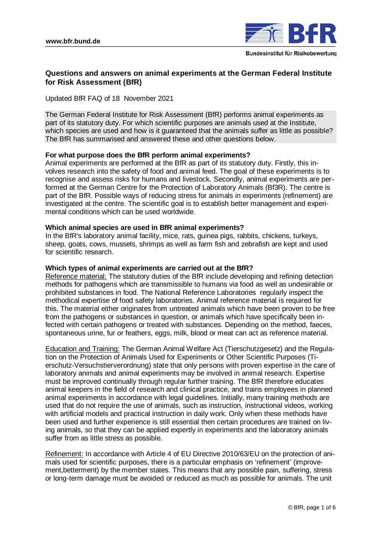

# **Questions and answers on animal experiments at the German Federal Institute for Risk Assessment (BfR)**

Updated BfR FAQ of 18 November 2021

The German Federal Institute for Risk Assessment (BfR) performs animal experiments as part of its statutory duty. For which scientific purposes are animals used at the Institute, which species are used and how is it guaranteed that the animals suffer as little as possible? The BfR has summarised and answered these and other questions below.

## **For what purpose does the BfR perform animal experiments?**

Animal experiments are performed at the BfR as part of its statutory duty. Firstly, this involves research into the safety of food and animal feed. The goal of these experiments is to recognise and assess risks for humans and livestock. Secondly, animal experiments are performed at the German Centre for the Protection of Laboratory Animals (Bf3R). The centre is part of the BfR. Possible ways of reducing stress for animals in experiments (refinement) are investigated at the centre. The scientific goal is to establish better management and experimental conditions which can be used worldwide.

## **Which animal species are used in BfR animal experiments?**

In the BfR's laboratory animal facility, mice, rats, guinea pigs, rabbits, chickens, turkeys, sheep, goats, cows, mussels, shrimps as well as farm fish and zebrafish are kept and used for scientific research.

## **Which types of animal experiments are carried out at the BfR?**

Reference material: The statutory duties of the BfR include developing and refining detection methods for pathogens which are transmissible to humans via food as well as undesirable or prohibited substances in food. The National Reference Laboratories regularly inspect the methodical expertise of food safety laboratories. Animal reference material is required for this. The material either originates from untreated animals which have been proven to be free from the pathogens or substances in question, or animals which have specifically been infected with certain pathogens or treated with substances. Depending on the method, faeces, spontaneous urine, fur or feathers, eggs, milk, blood or meat can act as reference material.

Education and Training: The German Animal Welfare Act (Tierschutzgesetz) and the Regulation on the Protection of Animals Used for Experiments or Other Scientific Purposes (Tierschutz-Versuchstierverordnung) state that only persons with proven expertise in the care of laboratory animals and animal experiments may be involved in animal research. Expertise must be improved continually through regular further training. The BfR therefore educates animal keepers in the field of research and clinical practice, and trains employees in planned animal experiments in accordance with legal guidelines. Initially, many training methods are used that do not require the use of animals, such as instruction, instructional videos, working with artificial models and practical instruction in daily work. Only when these methods have been used and further experience is still essential then certain procedures are trained on living animals, so that they can be applied expertly in experiments and the laboratory animals suffer from as little stress as possible.

Refinement: In accordance with Article 4 of EU Directive 2010/63/EU on the protection of animals used for scientific purposes, there is a particular emphasis on 'refinement' (improvement,betterment) by the member states. This means that any possible pain, suffering, stress or long-term damage must be avoided or reduced as much as possible for animals. The unit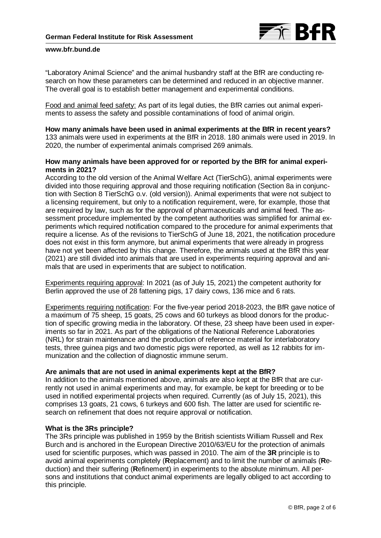

"Laboratory Animal Science" and the animal husbandry staff at the BfR are conducting research on how these parameters can be determined and reduced in an objective manner. The overall goal is to establish better management and experimental conditions.

Food and animal feed safety: As part of its legal duties, the BfR carries out animal experiments to assess the safety and possible contaminations of food of animal origin.

## **How many animals have been used in animal experiments at the BfR in recent years?**

133 animals were used in experiments at the BfR in 2018. 180 animals were used in 2019. In 2020, the number of experimental animals comprised 269 animals.

## **How many animals have been approved for or reported by the BfR for animal experiments in 2021?**

According to the old version of the Animal Welfare Act (TierSchG), animal experiments were divided into those requiring approval and those requiring notification (Section 8a in conjunction with Section 8 TierSchG o.v. (old version)). Animal experiments that were not subject to a licensing requirement, but only to a notification requirement, were, for example, those that are required by law, such as for the approval of pharmaceuticals and animal feed. The assessment procedure implemented by the competent authorities was simplified for animal experiments which required notification compared to the procedure for animal experiments that require a license. As of the revisions to TierSchG of June 18, 2021, the notification procedure does not exist in this form anymore, but animal experiments that were already in progress have not yet been affected by this change. Therefore, the animals used at the BfR this year (2021) are still divided into animals that are used in experiments requiring approval and animals that are used in experiments that are subject to notification.

Experiments requiring approval: In 2021 (as of July 15, 2021) the competent authority for Berlin approved the use of 28 fattening pigs, 17 dairy cows, 136 mice and 6 rats.

Experiments requiring notification: For the five-year period 2018-2023, the BfR gave notice of a maximum of 75 sheep, 15 goats, 25 cows and 60 turkeys as blood donors for the production of specific growing media in the laboratory. Of these, 23 sheep have been used in experiments so far in 2021. As part of the obligations of the National Reference Laboratories (NRL) for strain maintenance and the production of reference material for interlaboratory tests, three guinea pigs and two domestic pigs were reported, as well as 12 rabbits for immunization and the collection of diagnostic immune serum.

### **Are animals that are not used in animal experiments kept at the BfR?**

In addition to the animals mentioned above, animals are also kept at the BfR that are currently not used in animal experiments and may, for example, be kept for breeding or to be used in notified experimental projects when required. Currently (as of July 15, 2021), this comprises 13 goats, 21 cows, 6 turkeys and 600 fish. The latter are used for scientific research on refinement that does not require approval or notification.

### **What is the 3Rs principle?**

The 3Rs principle was published in 1959 by the British scientists William Russell and Rex Burch and is anchored in the European Directive 2010/63/EU for the protection of animals used for scientific purposes, which was passed in 2010. The aim of the **3R** principle is to avoid animal experiments completely (**R**eplacement) and to limit the number of animals (**R**eduction) and their suffering (**R**efinement) in experiments to the absolute minimum. All persons and institutions that conduct animal experiments are legally obliged to act according to this principle.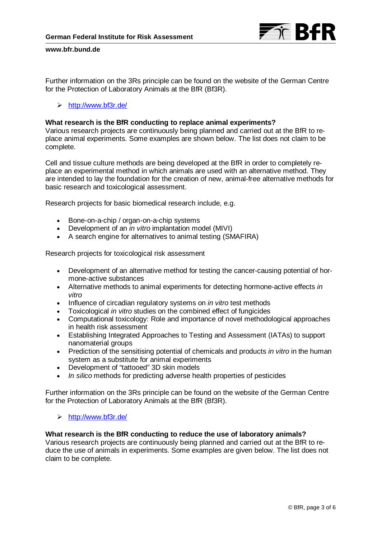

Further information on the 3Rs principle can be found on the website of the German Centre for the Protection of Laboratory Animals at the BfR (Bf3R).

## <http://www.bf3r.de/>

### **What research is the BfR conducting to replace animal experiments?**

Various research projects are continuously being planned and carried out at the BfR to replace animal experiments. Some examples are shown below. The list does not claim to be complete.

Cell and tissue culture methods are being developed at the BfR in order to completely replace an experimental method in which animals are used with an alternative method. They are intended to lay the foundation for the creation of new, animal-free alternative methods for basic research and toxicological assessment.

Research projects for basic biomedical research include, e.g.

- Bone-on-a-chip / organ-on-a-chip systems
- Development of an *in vitro* implantation model (MIVI)
- A search engine for alternatives to animal testing (SMAFIRA)

Research projects for toxicological risk assessment

- Development of an alternative method for testing the cancer-causing potential of hormone-active substances
- Alternative methods to animal experiments for detecting hormone-active effects *in vitro*
- Influence of circadian regulatory systems on *in vitro* test methods
- Toxicological *in vitro* studies on the combined effect of fungicides
- Computational toxicology: Role and importance of novel methodological approaches in health risk assessment
- Establishing Integrated Approaches to Testing and Assessment (IATAs) to support nanomaterial groups
- Prediction of the sensitising potential of chemicals and products *in vitro* in the human system as a substitute for animal experiments
- Development of "tattooed" 3D skin models
- *In silico* methods for predicting adverse health properties of pesticides

Further information on the 3Rs principle can be found on the website of the German Centre for the Protection of Laboratory Animals at the BfR (Bf3R).

## <http://www.bf3r.de/>

## **What research is the BfR conducting to reduce the use of laboratory animals?**

Various research projects are continuously being planned and carried out at the BfR to reduce the use of animals in experiments. Some examples are given below. The list does not claim to be complete.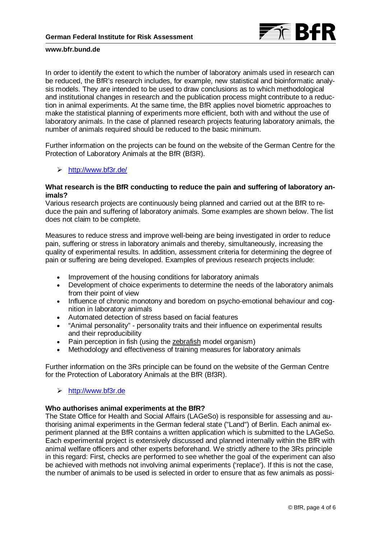

In order to identify the extent to which the number of laboratory animals used in research can be reduced, the BfR's research includes, for example, new statistical and bioinformatic analysis models. They are intended to be used to draw conclusions as to which methodological and institutional changes in research and the publication process might contribute to a reduction in animal experiments. At the same time, the BfR applies novel biometric approaches to make the statistical planning of experiments more efficient, both with and without the use of laboratory animals. In the case of planned research projects featuring laboratory animals, the number of animals required should be reduced to the basic minimum.

Further information on the projects can be found on the website of the German Centre for the Protection of Laboratory Animals at the BfR (Bf3R).

<http://www.bf3r.de/>

## **What research is the BfR conducting to reduce the pain and suffering of laboratory animals?**

Various research projects are continuously being planned and carried out at the BfR to reduce the pain and suffering of laboratory animals. Some examples are shown below. The list does not claim to be complete.

Measures to reduce stress and improve well-being are being investigated in order to reduce pain, suffering or stress in laboratory animals and thereby, simultaneously, increasing the quality of experimental results. In addition, assessment criteria for determining the degree of pain or suffering are being developed. Examples of previous research projects include:

- Improvement of the housing conditions for laboratory animals
- Development of choice experiments to determine the needs of the laboratory animals from their point of view
- Influence of chronic monotony and boredom on psycho-emotional behaviour and cognition in laboratory animals
- Automated detection of stress based on facial features
- "Animal personality" personality traits and their influence on experimental results and their reproducibility
- Pain perception in fish (using the [zebrafish](https://de.wikipedia.org/wiki/Zebrab%C3%A4rbling) model organism)
- Methodology and effectiveness of training measures for laboratory animals

Further information on the 3Rs principle can be found on the website of the German Centre for the Protection of Laboratory Animals at the BfR (Bf3R).

### [http://www.bf3r.de](http://www.bf3r.de/)

### **Who authorises animal experiments at the BfR?**

The State Office for Health and Social Affairs (LAGeSo) is responsible for assessing and authorising animal experiments in the German federal state ("Land") of Berlin. Each animal experiment planned at the BfR contains a written application which is submitted to the LAGeSo. Each experimental project is extensively discussed and planned internally within the BfR with animal welfare officers and other experts beforehand. We strictly adhere to the 3Rs principle in this regard: First, checks are performed to see whether the goal of the experiment can also be achieved with methods not involving animal experiments ('replace'). If this is not the case, the number of animals to be used is selected in order to ensure that as few animals as possi-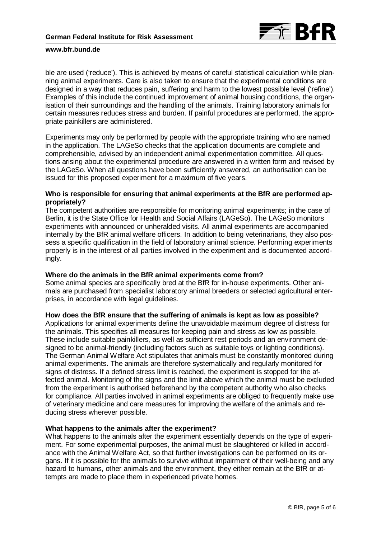

ble are used ('reduce'). This is achieved by means of careful statistical calculation while planning animal experiments. Care is also taken to ensure that the experimental conditions are designed in a way that reduces pain, suffering and harm to the lowest possible level ('refine'). Examples of this include the continued improvement of animal housing conditions, the organisation of their surroundings and the handling of the animals. Training laboratory animals for certain measures reduces stress and burden. If painful procedures are performed, the appropriate painkillers are administered.

Experiments may only be performed by people with the appropriate training who are named in the application. The LAGeSo checks that the application documents are complete and comprehensible, advised by an independent animal experimentation committee. All questions arising about the experimental procedure are answered in a written form and revised by the LAGeSo. When all questions have been sufficiently answered, an authorisation can be issued for this proposed experiment for a maximum of five years.

## **Who is responsible for ensuring that animal experiments at the BfR are performed appropriately?**

The competent authorities are responsible for monitoring animal experiments; in the case of Berlin, it is the State Office for Health and Social Affairs (LAGeSo). The LAGeSo monitors experiments with announced or unheralded visits. All animal experiments are accompanied internally by the BfR animal welfare officers. In addition to being veterinarians, they also possess a specific qualification in the field of laboratory animal science. Performing experiments properly is in the interest of all parties involved in the experiment and is documented accordingly.

## **Where do the animals in the BfR animal experiments come from?**

Some animal species are specifically bred at the BfR for in-house experiments. Other animals are purchased from specialist laboratory animal breeders or selected agricultural enterprises, in accordance with legal guidelines.

### **How does the BfR ensure that the suffering of animals is kept as low as possible?**

Applications for animal experiments define the unavoidable maximum degree of distress for the animals. This specifies all measures for keeping pain and stress as low as possible. These include suitable painkillers, as well as sufficient rest periods and an environment designed to be animal-friendly (including factors such as suitable toys or lighting conditions). The German Animal Welfare Act stipulates that animals must be constantly monitored during animal experiments. The animals are therefore systematically and regularly monitored for signs of distress. If a defined stress limit is reached, the experiment is stopped for the affected animal. Monitoring of the signs and the limit above which the animal must be excluded from the experiment is authorised beforehand by the competent authority who also checks for compliance. All parties involved in animal experiments are obliged to frequently make use of veterinary medicine and care measures for improving the welfare of the animals and reducing stress wherever possible.

### **What happens to the animals after the experiment?**

What happens to the animals after the experiment essentially depends on the type of experiment. For some experimental purposes, the animal must be slaughtered or killed in accordance with the Animal Welfare Act, so that further investigations can be performed on its organs. If it is possible for the animals to survive without impairment of their well-being and any hazard to humans, other animals and the environment, they either remain at the BfR or attempts are made to place them in experienced private homes.